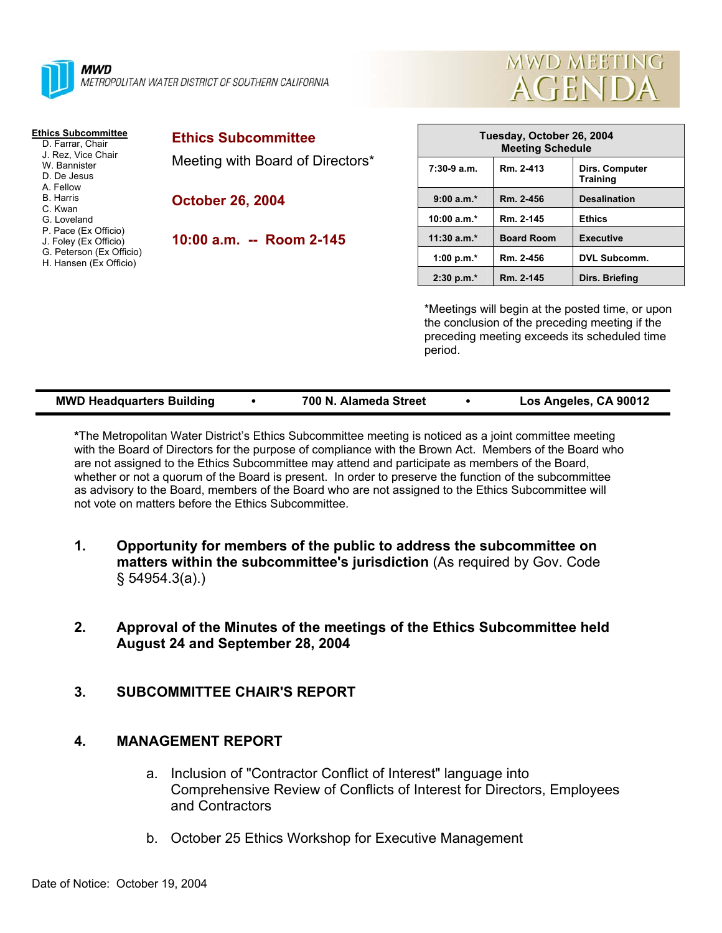



| <b>Ethics Subcommittee</b><br>D. Farrar, Chair<br>J. Rez. Vice Chair<br>W. Bannister<br>D. De Jesus<br>A. Fellow<br><b>B.</b> Harris<br>C. Kwan<br>G. Loveland<br>P. Pace (Ex Officio)<br>J. Foley (Ex Officio)<br>G. Peterson (Ex Officio)<br>H. Hansen (Ex Officio) | <b>Ethics Subcommittee</b><br>Meeting with Board of Directors* | Tuesday, October 26, 2004<br><b>Meeting Schedule</b>                                                                                                          |                   |                                   |
|-----------------------------------------------------------------------------------------------------------------------------------------------------------------------------------------------------------------------------------------------------------------------|----------------------------------------------------------------|---------------------------------------------------------------------------------------------------------------------------------------------------------------|-------------------|-----------------------------------|
|                                                                                                                                                                                                                                                                       |                                                                | $7:30-9a.m.$                                                                                                                                                  | Rm. 2-413         | Dirs. Computer<br><b>Training</b> |
|                                                                                                                                                                                                                                                                       | <b>October 26, 2004</b>                                        | $9:00a.m.*$                                                                                                                                                   | Rm. 2-456         | <b>Desalination</b>               |
|                                                                                                                                                                                                                                                                       |                                                                | 10:00 $a.m.*$                                                                                                                                                 | Rm. 2-145         | <b>Ethics</b>                     |
|                                                                                                                                                                                                                                                                       | 10:00 a.m. -- Room 2-145                                       | $11:30$ a.m. <sup>*</sup>                                                                                                                                     | <b>Board Room</b> | <b>Executive</b>                  |
|                                                                                                                                                                                                                                                                       |                                                                | 1:00 p.m. $*$                                                                                                                                                 | Rm. 2-456         | <b>DVL Subcomm.</b>               |
|                                                                                                                                                                                                                                                                       |                                                                | $2:30 p.m.*$                                                                                                                                                  | Rm. 2-145         | Dirs. Briefing                    |
|                                                                                                                                                                                                                                                                       |                                                                | *Meetings will begin at the posted time, or upon<br>the conclusion of the preceding meeting if the<br>preceding meeting exceeds its scheduled time<br>period. |                   |                                   |

| <b>MWD Headquarters Building</b> | 700 N. Alameda Street | Los Angeles, CA 90012 |
|----------------------------------|-----------------------|-----------------------|
|                                  |                       |                       |

**\***The Metropolitan Water District's Ethics Subcommittee meeting is noticed as a joint committee meeting with the Board of Directors for the purpose of compliance with the Brown Act. Members of the Board who are not assigned to the Ethics Subcommittee may attend and participate as members of the Board, whether or not a quorum of the Board is present. In order to preserve the function of the subcommittee as advisory to the Board, members of the Board who are not assigned to the Ethics Subcommittee will not vote on matters before the Ethics Subcommittee.

- **1. Opportunity for members of the public to address the subcommittee on matters within the subcommittee's jurisdiction** (As required by Gov. Code § 54954.3(a).)
- **2. Approval of the Minutes of the meetings of the Ethics Subcommittee held August 24 and September 28, 2004**
- **3. SUBCOMMITTEE CHAIR'S REPORT**

# **4. MANAGEMENT REPORT**

- a. Inclusion of "Contractor Conflict of Interest" language into Comprehensive Review of Conflicts of Interest for Directors, Employees and Contractors
- b. October 25 Ethics Workshop for Executive Management